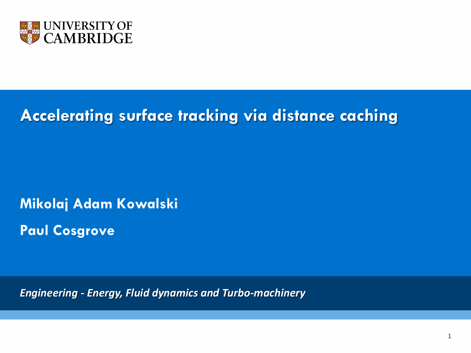

## **Accelerating surface tracking via distance caching**

**Mikolaj Adam Kowalski Paul Cosgrove** 

*Engineering - Energy, Fluid dynamics and Turbo-machinery*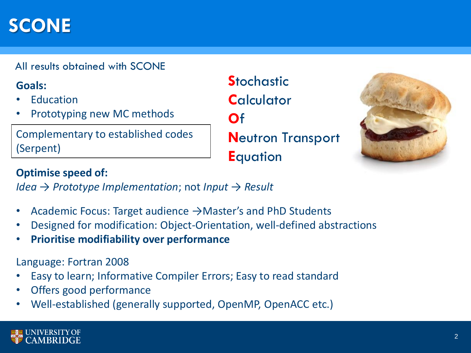# **SCONE**

All results obtained with SCONE

## **Goals:**

- **Education**
- Prototyping new MC methods

Complementary to established codes (Serpent)

**Stochastic C**alculator **O**f **N**eutron Transport **E**quation



## **Optimise speed of:**

*Idea* → *Prototype Implementation*; not *Input* → *Result*

- Academic Focus: Target audience →Master's and PhD Students
- Designed for modification: Object-Orientation, well-defined abstractions
- **Prioritise modifiability over performance**

Language: Fortran 2008

- Easy to learn; Informative Compiler Errors; Easy to read standard
- Offers good performance
- Well-established (generally supported, OpenMP, OpenACC etc.)

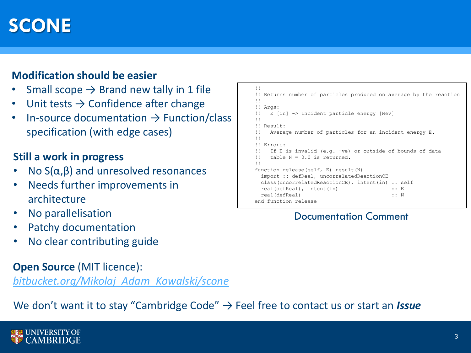# **SCONE**

## **Modification should be easier**

- Small scope  $\rightarrow$  Brand new tally in 1 file
- Unit tests  $\rightarrow$  Confidence after change
- In-source documentation  $\rightarrow$  Function/class specification (with edge cases)

#### **Still a work in progress**

- No  $S(α, β)$  and unresolved resonances
- Needs further improvements in architecture
- No parallelisation
- Patchy documentation
- No clear contributing guide

## **Open Source (MIT licence):**

*bitbucket.org/Mikolaj\_Adam\_Kowalski/scone*

## We don't want it to stay "Cambridge Code" → Feel free to contact us or start an *Issue*



```
!!
!! Returns number of particles produced on average by the reaction
!!
!! Args:
!! E [in] -> Incident particle energy [MeV]
!!
!! Result:
!! Average number of particles for an incident energy E.
!!
!! Errors:
!! If E is invalid (e.g. -ve) or outside of bounds of data 
!! table N = 0.0 is returned.
!!
function release(self, E) result(N)
 import :: defReal, uncorrelatedReactionCE
 class(uncorrelatedReactionCE), intent(in) :: self
 real(defReal), intent(in) :: E
 real(defReal) :: N
end function release
```
#### Documentation Comment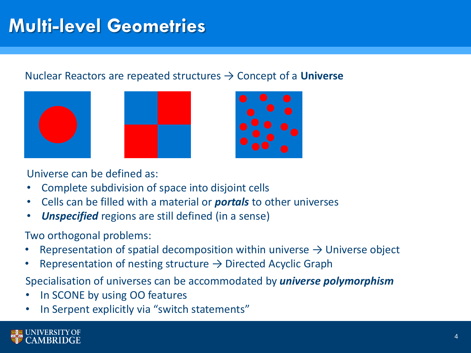# **Multi-level Geometries**

## Nuclear Reactors are repeated structures → Concept of a **Universe**





Universe can be defined as:

- Complete subdivision of space into disjoint cells
- Cells can be filled with a material or *portals* to other universes
- *Unspecified* regions are still defined (in a sense)

Two orthogonal problems:

- Representation of spatial decomposition within universe  $\rightarrow$  Universe object
- Representation of nesting structure  $\rightarrow$  Directed Acyclic Graph

Specialisation of universes can be accommodated by *universe polymorphism*

- In SCONE by using OO features
- In Serpent explicitly via "switch statements"

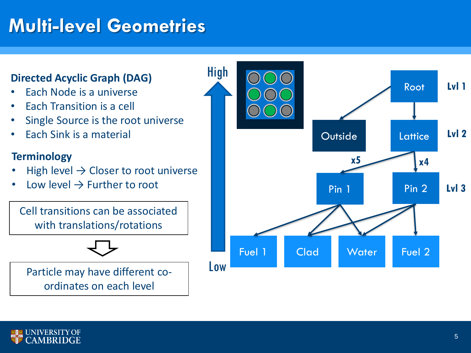# **Multi-level Geometries**

## **Directed Acyclic Graph (DAG)** High

- Each Node is a universe
- Each Transition is a cell
- Single Source is the root universe
- Each Sink is a material

## **Terminology**

- High level  $\rightarrow$  Closer to root universe
- Low level  $\rightarrow$  Further to root

Cell transitions can be associated with translations/rotations

Particle may have different coordinates on each level



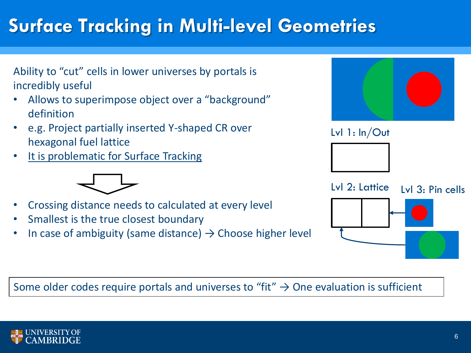# **Surface Tracking in Multi-level Geometries**



## Some older codes require portals and universes to "fit"  $\rightarrow$  One evaluation is sufficient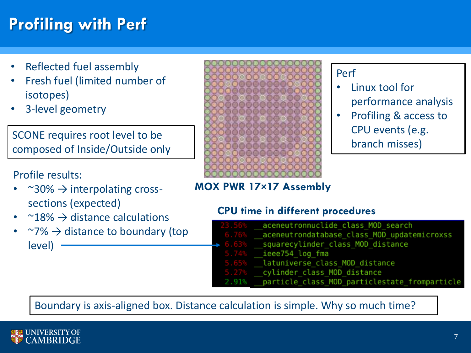# **Profiling with Perf**

- Reflected fuel assembly
- Fresh fuel (limited number of isotopes)
- 3-level geometry

SCONE requires root level to be composed of Inside/Outside only

## Profile results:

- $\sim$  30%  $\rightarrow$  interpolating crosssections (expected)
- $\sim$  18%  $\rightarrow$  distance calculations
- $\sim$ 7%  $\rightarrow$  distance to boundary (top  $level) -$



## Perf

- Linux tool for performance analysis
- Profiling & access to CPU events (e.g. branch misses)

## **MOX PWR 17×17 Assembly**

## **CPU time in different procedures**

| 23.56%              | aceneutronnuclide class MOD search            |
|---------------------|-----------------------------------------------|
| 6.76%               | aceneutrondatabase class MOD updatemicroxss   |
| $\rightarrow 6.63%$ | squarecylinder class MOD distance             |
|                     | $5.74%$ ieee754 log fma                       |
|                     | 5.65% latuniverse class MOD distance          |
| 5.27%               | cylinder class MOD distance                   |
| 2.91%               | particle class MOD particlestate fromparticle |

Boundary is axis-aligned box. Distance calculation is simple. Why so much time?

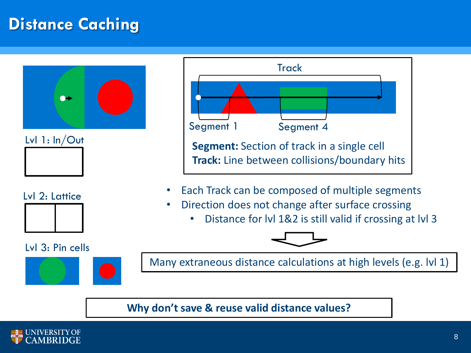## **Distance Caching**





## Lvl 2: Lattice



#### Lvl 3: Pin cells





- Each Track can be composed of multiple segments
- Direction does not change after surface crossing
	- Distance for lvl 1&2 is still valid if crossing at lvl 3



Many extraneous distance calculations at high levels (e.g. lvl 1)

## **Why don't save & reuse valid distance values?**

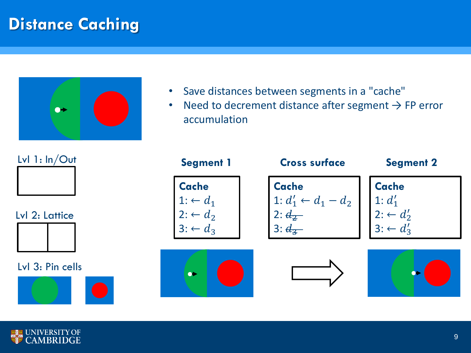## **Distance Caching**



- Save distances between segments in a "cache"
- Need to decrement distance after segment  $\rightarrow$  FP error accumulation



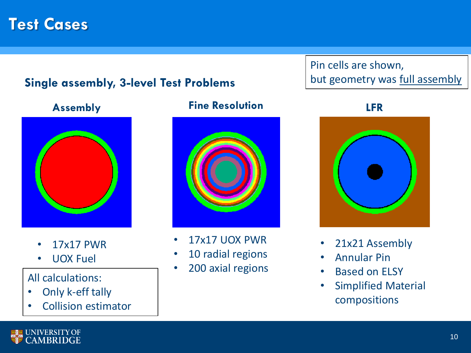## **Test Cases**

## **Single assembly, 3-level Test Problems**



- 17x17 PWR
- UOX Fuel

## All calculations:

- Only k-eff tally
- Collision estimator

## **Assembly Fine Resolution LFR**



- 17x17 UOX PWR
- 10 radial regions
- 200 axial regions

## Pin cells are shown, but geometry was full assembly



- 21x21 Assembly
- Annular Pin
- Based on ELSY
- Simplified Material compositions

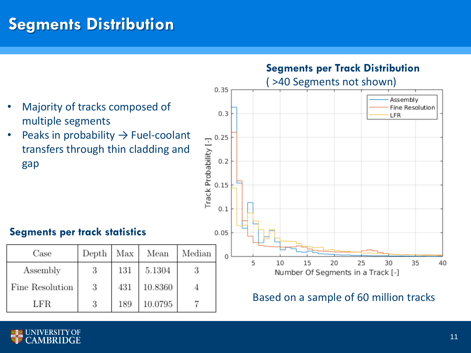## **Segments Distribution**



• Peaks in probability  $\rightarrow$  Fuel-coolant transfers through thin cladding and gap

## **Segments per track statistics**

| Case            | Depth | Max | Mean    | Median |
|-----------------|-------|-----|---------|--------|
| Assembly        | 3     | 131 | 5.1304  |        |
| Fine Resolution | 3     | 431 | 10.8360 |        |
| LFR             | 3     | 189 | 10.0795 |        |



## Based on a sample of 60 million tracks

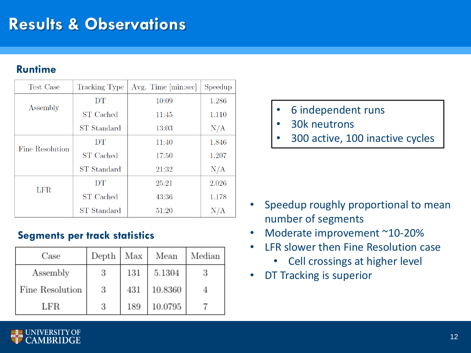## **Results & Observations**

## **Runtime**

| Test Case       | <b>Tracking Type</b> | Avg. Time [min:sec] | Speedup |
|-----------------|----------------------|---------------------|---------|
|                 | DT                   | 10:09               | 1.286   |
| Assembly        | <b>ST</b> Cached     | 11:45               | 1.110   |
|                 | ST Standard          | 13:03               | N/A     |
| Fine Resolution | DT                   | 11:40               | 1.846   |
|                 | ST Cached            | 17:50               | 1.207   |
|                 | ST Standard          | 21:32               | N/A     |
| <b>LFR</b>      | DT                   | 25:21               | 2.026   |
|                 | <b>ST</b> Cached     | 43:36               | 1.178   |
|                 | ST Standard          | 51:20               | N/A     |

## **Segments per track statistics**

| Case            | Depth | Max | Mean    | Median |
|-----------------|-------|-----|---------|--------|
| Assembly        | 3     | 131 | 5.1304  |        |
| Fine Resolution | 3     | 431 | 10.8360 |        |
| LFR             | 3     | 189 | 10.0795 |        |

- 6 independent runs
- 30k neutrons
- 300 active, 100 inactive cycles

- Speedup roughly proportional to mean number of segments
- Moderate improvement ~10-20%
- LFR slower then Fine Resolution case
	- Cell crossings at higher level
- DT Tracking is superior

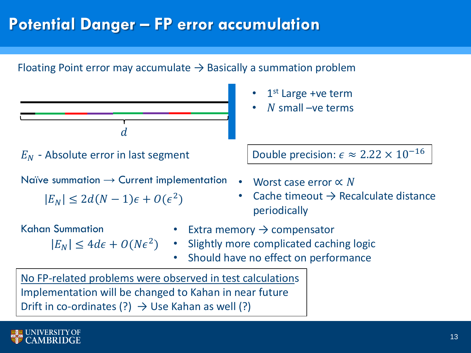## **Potential Danger – FP error accumulation**

## Floating Point error may accumulate  $\rightarrow$  Basically a summation problem



Naïve summation  $\rightarrow$  Current implementation

 $|E_N| \leq 2d(N-1)\epsilon + O(\epsilon^2)$ 

Kahan Summation

- 1<sup>st</sup> Large +ve term
- $\overline{N}$  small –ve terms

 $E_N$  - Absolute error in last segment  $E_N$  Double precision:  $\epsilon \approx 2.22 \times 10^{-16}$ 

- Worst case error ∝ N
- Cache timeout  $\rightarrow$  Recalculate distance periodically
- Extra memory  $\rightarrow$  compensator
- $E_N$   $\leq 4d\epsilon + O(N\epsilon^2)$  Slightly more complicated caching logic
	- Should have no effect on performance

No FP-related problems were observed in test calculations Implementation will be changed to Kahan in near future Drift in co-ordinates  $(?) \rightarrow \cup$ se Kahan as well  $(?)$ 

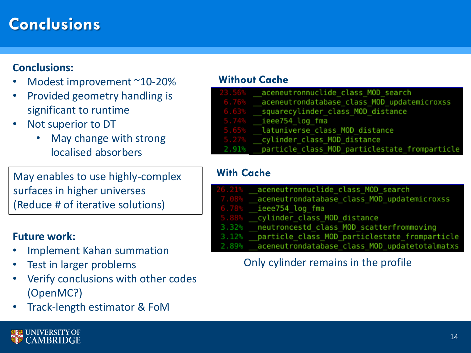## **Conclusions**

## **Conclusions:**

- Modest improvement ~10-20%
- Provided geometry handling is significant to runtime
- Not superior to DT
	- May change with strong localised absorbers

May enables to use highly-complex surfaces in higher universes (Reduce # of iterative solutions)

## **Future work:**

- Implement Kahan summation
- Test in larger problems
- Verify conclusions with other codes (OpenMC?)
- Track-length estimator & FoM

#### **Without Cache**

| 23.56%   | aceneutronnuclide class MOD search            |
|----------|-----------------------------------------------|
| 6.76%    | aceneutrondatabase class MOD updatemicroxss   |
| 6.63%    | squarecylinder class MOD distance             |
| 5.74%    | ieee754 log fma                               |
| $5.65\%$ | latuniverse class MOD distance                |
| 5.27%    | cylinder class MOD distance                   |
| 2.91%    | particle class MOD particlestate fromparticle |
|          |                                               |

## **With Cache**

|          | 26.21% aceneutronnuclide class MOD search           |
|----------|-----------------------------------------------------|
| $7.08\%$ | aceneutrondatabase class MOD updatemicroxss         |
|          | $6.78\%$ ieee $754$ log fma                         |
|          | 5.88% cylinder class MOD distance                   |
|          | 3.32% neutroncestd class MOD scatterfrommoving      |
|          | 3.12% particle class MOD particlestate fromparticle |
|          | 2.89% aceneutrondatabase class MOD updatetotalmatxs |

## Only cylinder remains in the profile